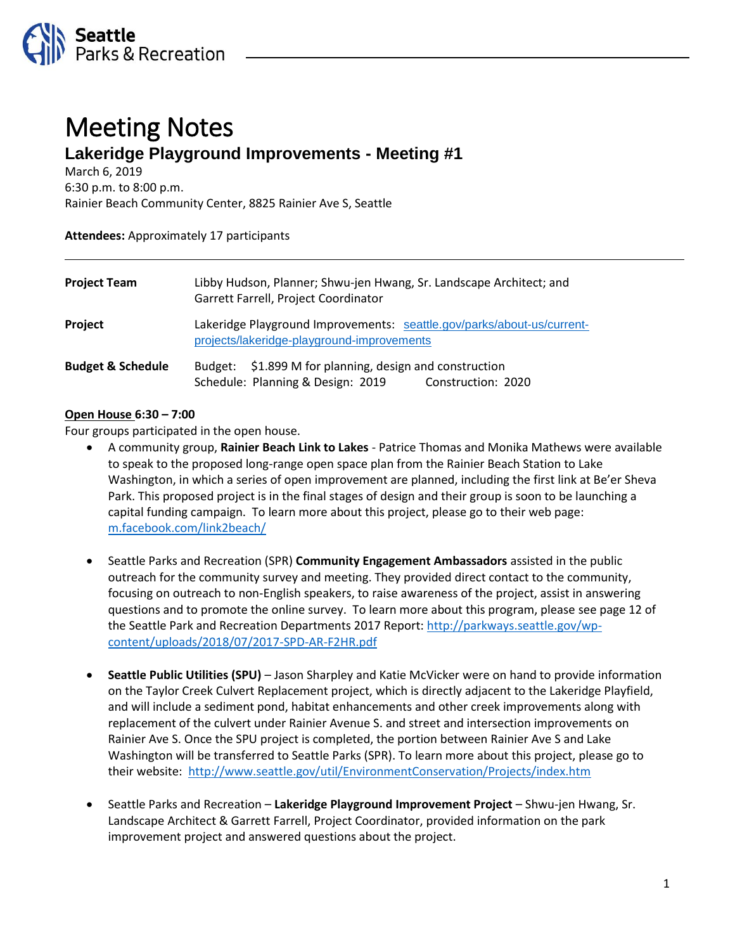

# Meeting Notes **Lakeridge Playground Improvements - Meeting #1**

March 6, 2019

6:30 p.m. to 8:00 p.m. Rainier Beach Community Center, 8825 Rainier Ave S, Seattle

**Attendees:** Approximately 17 participants

| <b>Project Team</b>          | Libby Hudson, Planner; Shwu-jen Hwang, Sr. Landscape Architect; and<br>Garrett Farrell, Project Coordinator          |
|------------------------------|----------------------------------------------------------------------------------------------------------------------|
| Project                      | Lakeridge Playground Improvements: seattle.gov/parks/about-us/current-<br>projects/lakeridge-playground-improvements |
| <b>Budget &amp; Schedule</b> | Budget: \$1.899 M for planning, design and construction<br>Schedule: Planning & Design: 2019<br>Construction: 2020   |

## **Open House 6:30 – 7:00**

Four groups participated in the open house.

- A community group, **Rainier Beach Link to Lakes** Patrice Thomas and Monika Mathews were available to speak to the proposed long-range open space plan from the Rainier Beach Station to Lake Washington, in which a series of open improvement are planned, including the first link at Be'er Sheva Park. This proposed project is in the final stages of design and their group is soon to be launching a capital funding campaign. To learn more about this project, please go to their web page: [m.facebook.com/link2beach/](https://m.facebook.com/link2beach/)
- Seattle Parks and Recreation (SPR) **Community Engagement Ambassadors** assisted in the public outreach for the community survey and meeting. They provided direct contact to the community, focusing on outreach to non-English speakers, to raise awareness of the project, assist in answering questions and to promote the online survey. To learn more about this program, please see page 12 of the Seattle Park and Recreation Departments 2017 Report: [http://parkways.seattle.gov/wp](http://parkways.seattle.gov/wp-content/uploads/2018/07/2017-SPD-AR-F2HR.pdf)[content/uploads/2018/07/2017-SPD-AR-F2HR.pdf](http://parkways.seattle.gov/wp-content/uploads/2018/07/2017-SPD-AR-F2HR.pdf)
- **Seattle Public Utilities (SPU)**  Jason Sharpley and Katie McVicker were on hand to provide information on the Taylor Creek Culvert Replacement project, which is directly adjacent to the Lakeridge Playfield, and will include a sediment pond, habitat enhancements and other creek improvements along with replacement of the culvert under Rainier Avenue S. and street and intersection improvements on Rainier Ave S. Once the SPU project is completed, the portion between Rainier Ave S and Lake Washington will be transferred to Seattle Parks (SPR). To learn more about this project, please go to their website: <http://www.seattle.gov/util/EnvironmentConservation/Projects/index.htm>
- Seattle Parks and Recreation **Lakeridge Playground Improvement Project** Shwu-jen Hwang, Sr. Landscape Architect & Garrett Farrell, Project Coordinator, provided information on the park improvement project and answered questions about the project.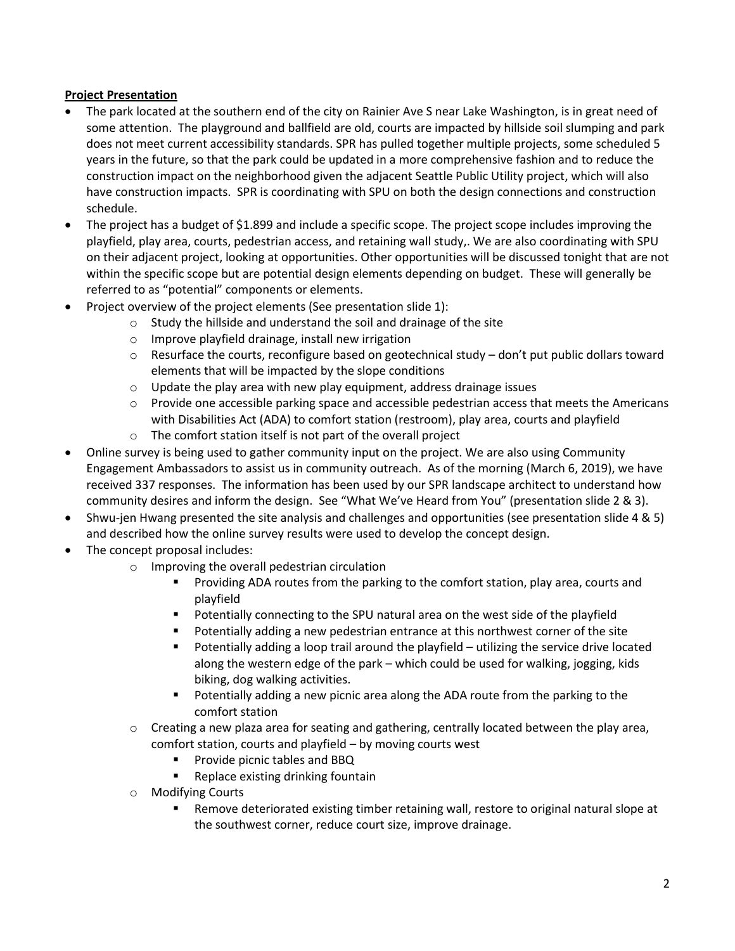## **Project Presentation**

- The park located at the southern end of the city on Rainier Ave S near Lake Washington, is in great need of some attention. The playground and ballfield are old, courts are impacted by hillside soil slumping and park does not meet current accessibility standards. SPR has pulled together multiple projects, some scheduled 5 years in the future, so that the park could be updated in a more comprehensive fashion and to reduce the construction impact on the neighborhood given the adjacent Seattle Public Utility project, which will also have construction impacts. SPR is coordinating with SPU on both the design connections and construction schedule.
- The project has a budget of \$1.899 and include a specific scope. The project scope includes improving the playfield, play area, courts, pedestrian access, and retaining wall study,. We are also coordinating with SPU on their adjacent project, looking at opportunities. Other opportunities will be discussed tonight that are not within the specific scope but are potential design elements depending on budget. These will generally be referred to as "potential" components or elements.
- Project overview of the project elements (See presentation slide 1):
	- o Study the hillside and understand the soil and drainage of the site
	- o Improve playfield drainage, install new irrigation
	- $\circ$  Resurface the courts, reconfigure based on geotechnical study don't put public dollars toward elements that will be impacted by the slope conditions
	- o Update the play area with new play equipment, address drainage issues
	- $\circ$  Provide one accessible parking space and accessible pedestrian access that meets the Americans with Disabilities Act (ADA) to comfort station (restroom), play area, courts and playfield
	- o The comfort station itself is not part of the overall project
- Online survey is being used to gather community input on the project. We are also using Community Engagement Ambassadors to assist us in community outreach. As of the morning (March 6, 2019), we have received 337 responses. The information has been used by our SPR landscape architect to understand how community desires and inform the design. See "What We've Heard from You" (presentation slide 2 & 3).
- Shwu-jen Hwang presented the site analysis and challenges and opportunities (see presentation slide 4 & 5) and described how the online survey results were used to develop the concept design.
- The concept proposal includes:
	- o Improving the overall pedestrian circulation
		- Providing ADA routes from the parking to the comfort station, play area, courts and playfield
		- Potentially connecting to the SPU natural area on the west side of the playfield
		- Potentially adding a new pedestrian entrance at this northwest corner of the site
		- Potentially adding a loop trail around the playfield utilizing the service drive located along the western edge of the park – which could be used for walking, jogging, kids biking, dog walking activities.
		- Potentially adding a new picnic area along the ADA route from the parking to the comfort station
	- $\circ$  Creating a new plaza area for seating and gathering, centrally located between the play area, comfort station, courts and playfield – by moving courts west
		- Provide picnic tables and BBQ
		- Replace existing drinking fountain
	- o Modifying Courts
		- Remove deteriorated existing timber retaining wall, restore to original natural slope at the southwest corner, reduce court size, improve drainage.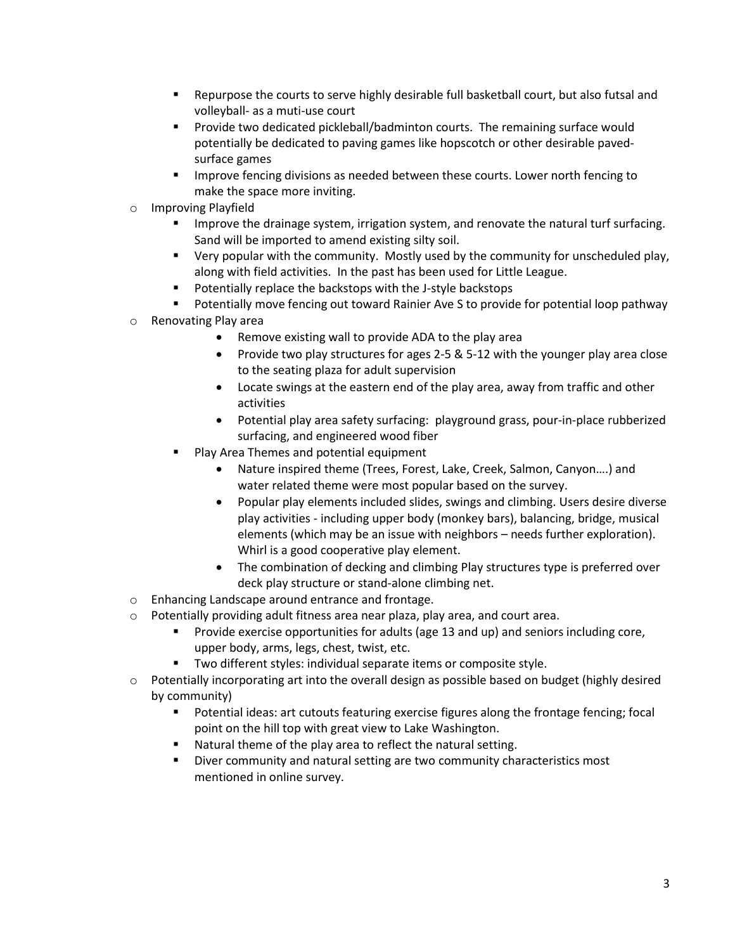- Repurpose the courts to serve highly desirable full basketball court, but also futsal and volleyball- as a muti-use court
- Provide two dedicated pickleball/badminton courts. The remaining surface would potentially be dedicated to paving games like hopscotch or other desirable pavedsurface games
- Improve fencing divisions as needed between these courts. Lower north fencing to make the space more inviting.
- o Improving Playfield
	- **■** Improve the drainage system, irrigation system, and renovate the natural turf surfacing. Sand will be imported to amend existing silty soil.
	- Very popular with the community. Mostly used by the community for unscheduled play, along with field activities. In the past has been used for Little League.
	- Potentially replace the backstops with the J-style backstops
	- Potentially move fencing out toward Rainier Ave S to provide for potential loop pathway
- o Renovating Play area
	- Remove existing wall to provide ADA to the play area
	- Provide two play structures for ages 2-5 & 5-12 with the younger play area close to the seating plaza for adult supervision
	- Locate swings at the eastern end of the play area, away from traffic and other activities
	- Potential play area safety surfacing: playground grass, pour-in-place rubberized surfacing, and engineered wood fiber
	- Play Area Themes and potential equipment
		- Nature inspired theme (Trees, Forest, Lake, Creek, Salmon, Canyon….) and water related theme were most popular based on the survey.
		- Popular play elements included slides, swings and climbing. Users desire diverse play activities - including upper body (monkey bars), balancing, bridge, musical elements (which may be an issue with neighbors – needs further exploration). Whirl is a good cooperative play element.
		- The combination of decking and climbing Play structures type is preferred over deck play structure or stand-alone climbing net.
- o Enhancing Landscape around entrance and frontage.
- $\circ$  Potentially providing adult fitness area near plaza, play area, and court area.
	- Provide exercise opportunities for adults (age 13 and up) and seniors including core, upper body, arms, legs, chest, twist, etc.
	- Two different styles: individual separate items or composite style.
- o Potentially incorporating art into the overall design as possible based on budget (highly desired by community)
	- Potential ideas: art cutouts featuring exercise figures along the frontage fencing; focal point on the hill top with great view to Lake Washington.
	- Natural theme of the play area to reflect the natural setting.
	- **E** Diver community and natural setting are two community characteristics most mentioned in online survey.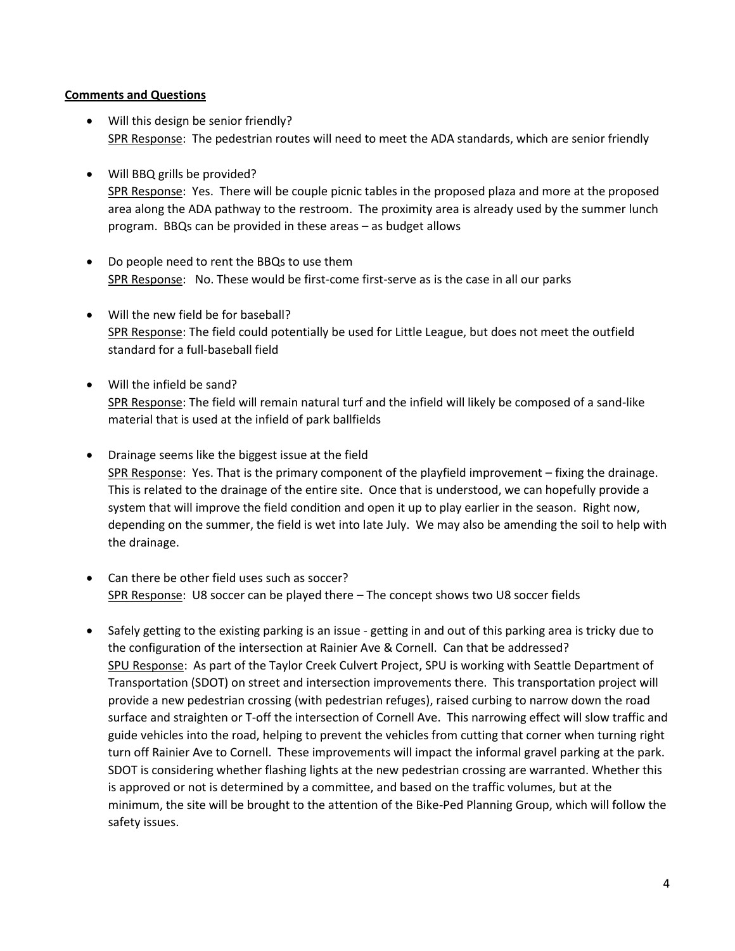#### **Comments and Questions**

- Will this design be senior friendly? SPR Response: The pedestrian routes will need to meet the ADA standards, which are senior friendly
- Will BBQ grills be provided? SPR Response: Yes. There will be couple picnic tables in the proposed plaza and more at the proposed area along the ADA pathway to the restroom. The proximity area is already used by the summer lunch program. BBQs can be provided in these areas – as budget allows
- Do people need to rent the BBQs to use them SPR Response: No. These would be first-come first-serve as is the case in all our parks
- Will the new field be for baseball? SPR Response: The field could potentially be used for Little League, but does not meet the outfield standard for a full-baseball field
- Will the infield be sand? SPR Response: The field will remain natural turf and the infield will likely be composed of a sand-like material that is used at the infield of park ballfields
- Drainage seems like the biggest issue at the field SPR Response: Yes. That is the primary component of the playfield improvement – fixing the drainage. This is related to the drainage of the entire site. Once that is understood, we can hopefully provide a system that will improve the field condition and open it up to play earlier in the season. Right now, depending on the summer, the field is wet into late July. We may also be amending the soil to help with the drainage.
- Can there be other field uses such as soccer? SPR Response: U8 soccer can be played there – The concept shows two U8 soccer fields
- Safely getting to the existing parking is an issue getting in and out of this parking area is tricky due to the configuration of the intersection at Rainier Ave & Cornell. Can that be addressed? SPU Response: As part of the Taylor Creek Culvert Project, SPU is working with Seattle Department of Transportation (SDOT) on street and intersection improvements there. This transportation project will provide a new pedestrian crossing (with pedestrian refuges), raised curbing to narrow down the road surface and straighten or T-off the intersection of Cornell Ave. This narrowing effect will slow traffic and guide vehicles into the road, helping to prevent the vehicles from cutting that corner when turning right turn off Rainier Ave to Cornell. These improvements will impact the informal gravel parking at the park. SDOT is considering whether flashing lights at the new pedestrian crossing are warranted. Whether this is approved or not is determined by a committee, and based on the traffic volumes, but at the minimum, the site will be brought to the attention of the Bike-Ped Planning Group, which will follow the safety issues.